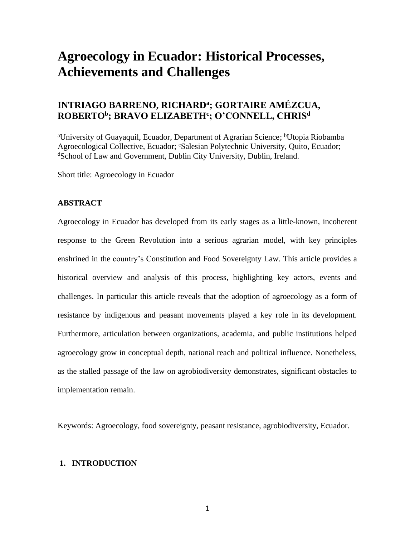# **Agroecology in Ecuador: Historical Processes, Achievements and Challenges**

### **INTRIAGO BARRENO, RICHARD<sup>a</sup> ; GORTAIRE AMÉZCUA, ROBERTO<sup>b</sup> ; BRAVO ELIZABETH<sup>c</sup> ; O'CONNELL, CHRIS<sup>d</sup>**

<sup>a</sup>University of Guayaquil, Ecuador, Department of Agrarian Science; <sup>b</sup>Utopia Riobamba Agroecological Collective, Ecuador; <sup>c</sup>Salesian Polytechnic University, Ouito, Ecuador; <sup>d</sup>School of Law and Government, Dublin City University, Dublin, Ireland.

Short title: Agroecology in Ecuador

#### **ABSTRACT**

Agroecology in Ecuador has developed from its early stages as a little-known, incoherent response to the Green Revolution into a serious agrarian model, with key principles enshrined in the country's Constitution and Food Sovereignty Law. This article provides a historical overview and analysis of this process, highlighting key actors, events and challenges. In particular this article reveals that the adoption of agroecology as a form of resistance by indigenous and peasant movements played a key role in its development. Furthermore, articulation between organizations, academia, and public institutions helped agroecology grow in conceptual depth, national reach and political influence. Nonetheless, as the stalled passage of the law on agrobiodiversity demonstrates, significant obstacles to implementation remain.

Keywords: Agroecology, food sovereignty, peasant resistance, agrobiodiversity, Ecuador.

#### **1. INTRODUCTION**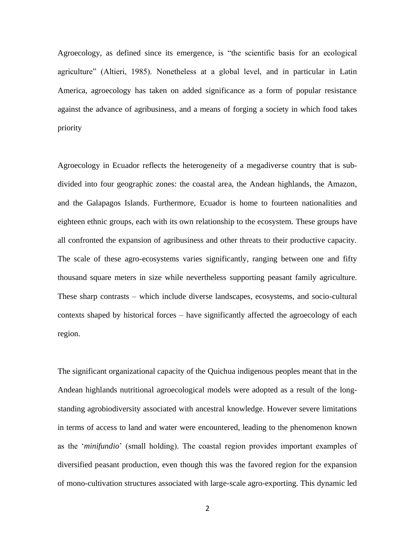Agroecology, as defined since its emergence, is "the scientific basis for an ecological agriculture" (Altieri, 1985). Nonetheless at a global level, and in particular in Latin America, agroecology has taken on added significance as a form of popular resistance against the advance of agribusiness, and a means of forging a society in which food takes priority

Agroecology in Ecuador reflects the heterogeneity of a megadiverse country that is subdivided into four geographic zones: the coastal area, the Andean highlands, the Amazon, and the Galapagos Islands. Furthermore, Ecuador is home to fourteen nationalities and eighteen ethnic groups, each with its own relationship to the ecosystem. These groups have all confronted the expansion of agribusiness and other threats to their productive capacity. The scale of these agro-ecosystems varies significantly, ranging between one and fifty thousand square meters in size while nevertheless supporting peasant family agriculture. These sharp contrasts – which include diverse landscapes, ecosystems, and socio-cultural contexts shaped by historical forces – have significantly affected the agroecology of each region.

The significant organizational capacity of the Quichua indigenous peoples meant that in the Andean highlands nutritional agroecological models were adopted as a result of the longstanding agrobiodiversity associated with ancestral knowledge. However severe limitations in terms of access to land and water were encountered, leading to the phenomenon known as the '*minifundio*' (small holding). The coastal region provides important examples of diversified peasant production, even though this was the favored region for the expansion of mono-cultivation structures associated with large-scale agro-exporting. This dynamic led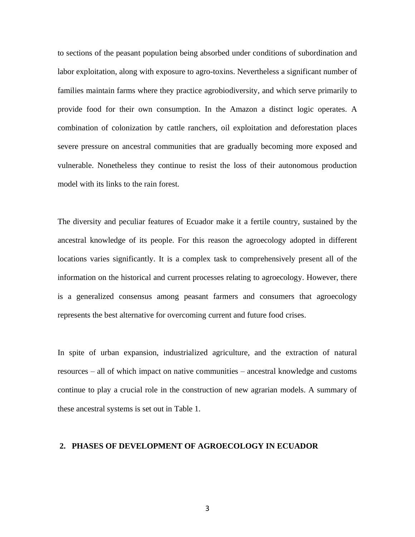to sections of the peasant population being absorbed under conditions of subordination and labor exploitation, along with exposure to agro-toxins. Nevertheless a significant number of families maintain farms where they practice agrobiodiversity, and which serve primarily to provide food for their own consumption. In the Amazon a distinct logic operates. A combination of colonization by cattle ranchers, oil exploitation and deforestation places severe pressure on ancestral communities that are gradually becoming more exposed and vulnerable. Nonetheless they continue to resist the loss of their autonomous production model with its links to the rain forest.

The diversity and peculiar features of Ecuador make it a fertile country, sustained by the ancestral knowledge of its people. For this reason the agroecology adopted in different locations varies significantly. It is a complex task to comprehensively present all of the information on the historical and current processes relating to agroecology. However, there is a generalized consensus among peasant farmers and consumers that agroecology represents the best alternative for overcoming current and future food crises.

In spite of urban expansion, industrialized agriculture, and the extraction of natural resources – all of which impact on native communities – ancestral knowledge and customs continue to play a crucial role in the construction of new agrarian models. A summary of these ancestral systems is set out in Table 1.

#### **2. PHASES OF DEVELOPMENT OF AGROECOLOGY IN ECUADOR**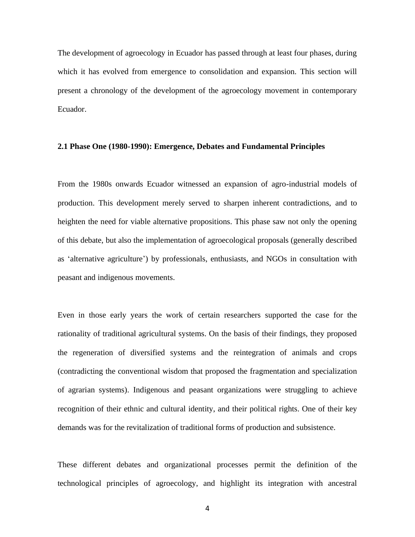The development of agroecology in Ecuador has passed through at least four phases, during which it has evolved from emergence to consolidation and expansion. This section will present a chronology of the development of the agroecology movement in contemporary Ecuador.

#### **2.1 Phase One (1980-1990): Emergence, Debates and Fundamental Principles**

From the 1980s onwards Ecuador witnessed an expansion of agro-industrial models of production. This development merely served to sharpen inherent contradictions, and to heighten the need for viable alternative propositions. This phase saw not only the opening of this debate, but also the implementation of agroecological proposals (generally described as 'alternative agriculture') by professionals, enthusiasts, and NGOs in consultation with peasant and indigenous movements.

Even in those early years the work of certain researchers supported the case for the rationality of traditional agricultural systems. On the basis of their findings, they proposed the regeneration of diversified systems and the reintegration of animals and crops (contradicting the conventional wisdom that proposed the fragmentation and specialization of agrarian systems). Indigenous and peasant organizations were struggling to achieve recognition of their ethnic and cultural identity, and their political rights. One of their key demands was for the revitalization of traditional forms of production and subsistence.

These different debates and organizational processes permit the definition of the technological principles of agroecology, and highlight its integration with ancestral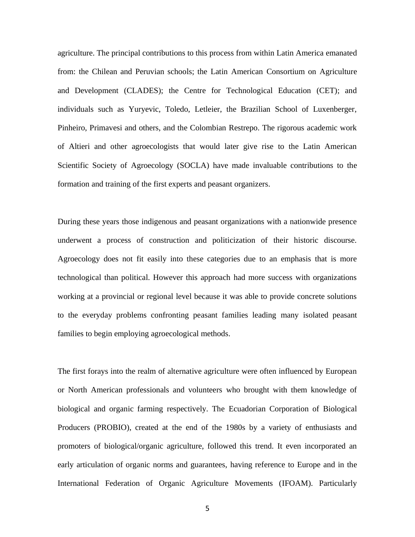agriculture. The principal contributions to this process from within Latin America emanated from: the Chilean and Peruvian schools; the Latin American Consortium on Agriculture and Development (CLADES); the Centre for Technological Education (CET); and individuals such as Yuryevic, Toledo, Letleier, the Brazilian School of Luxenberger, Pinheiro, Primavesi and others, and the Colombian Restrepo. The rigorous academic work of Altieri and other agroecologists that would later give rise to the Latin American Scientific Society of Agroecology (SOCLA) have made invaluable contributions to the formation and training of the first experts and peasant organizers.

During these years those indigenous and peasant organizations with a nationwide presence underwent a process of construction and politicization of their historic discourse. Agroecology does not fit easily into these categories due to an emphasis that is more technological than political. However this approach had more success with organizations working at a provincial or regional level because it was able to provide concrete solutions to the everyday problems confronting peasant families leading many isolated peasant families to begin employing agroecological methods.

The first forays into the realm of alternative agriculture were often influenced by European or North American professionals and volunteers who brought with them knowledge of biological and organic farming respectively. The Ecuadorian Corporation of Biological Producers (PROBIO), created at the end of the 1980s by a variety of enthusiasts and promoters of biological/organic agriculture, followed this trend. It even incorporated an early articulation of organic norms and guarantees, having reference to Europe and in the International Federation of Organic Agriculture Movements (IFOAM). Particularly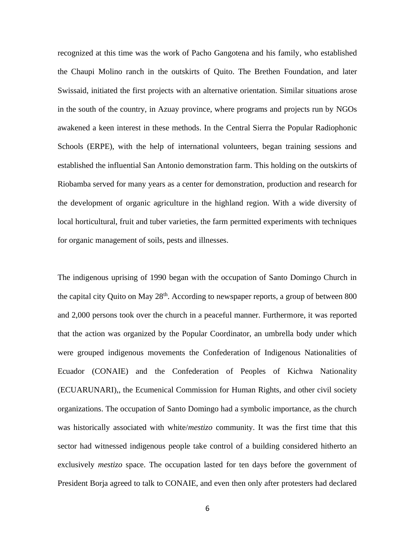recognized at this time was the work of Pacho Gangotena and his family, who established the Chaupi Molino ranch in the outskirts of Quito. The Brethen Foundation, and later Swissaid, initiated the first projects with an alternative orientation. Similar situations arose in the south of the country, in Azuay province, where programs and projects run by NGOs awakened a keen interest in these methods. In the Central Sierra the Popular Radiophonic Schools (ERPE), with the help of international volunteers, began training sessions and established the influential San Antonio demonstration farm. This holding on the outskirts of Riobamba served for many years as a center for demonstration, production and research for the development of organic agriculture in the highland region. With a wide diversity of local horticultural, fruit and tuber varieties, the farm permitted experiments with techniques for organic management of soils, pests and illnesses.

The indigenous uprising of 1990 began with the occupation of Santo Domingo Church in the capital city Quito on May 28<sup>th</sup>. According to newspaper reports, a group of between 800 and 2,000 persons took over the church in a peaceful manner. Furthermore, it was reported that the action was organized by the Popular Coordinator, an umbrella body under which were grouped indigenous movements the Confederation of Indigenous Nationalities of Ecuador (CONAIE) and the Confederation of Peoples of Kichwa Nationality (ECUARUNARI),, the Ecumenical Commission for Human Rights, and other civil society organizations. The occupation of Santo Domingo had a symbolic importance, as the church was historically associated with white/*mestizo* community. It was the first time that this sector had witnessed indigenous people take control of a building considered hitherto an exclusively *mestizo* space. The occupation lasted for ten days before the government of President Borja agreed to talk to CONAIE, and even then only after protesters had declared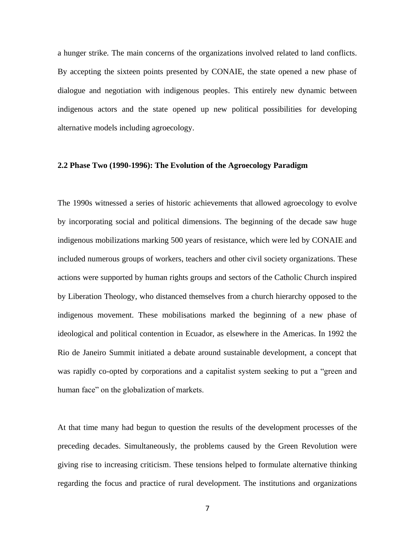a hunger strike. The main concerns of the organizations involved related to land conflicts. By accepting the sixteen points presented by CONAIE, the state opened a new phase of dialogue and negotiation with indigenous peoples. This entirely new dynamic between indigenous actors and the state opened up new political possibilities for developing alternative models including agroecology.

#### **2.2 Phase Two (1990-1996): The Evolution of the Agroecology Paradigm**

The 1990s witnessed a series of historic achievements that allowed agroecology to evolve by incorporating social and political dimensions. The beginning of the decade saw huge indigenous mobilizations marking 500 years of resistance, which were led by CONAIE and included numerous groups of workers, teachers and other civil society organizations. These actions were supported by human rights groups and sectors of the Catholic Church inspired by Liberation Theology, who distanced themselves from a church hierarchy opposed to the indigenous movement. These mobilisations marked the beginning of a new phase of ideological and political contention in Ecuador, as elsewhere in the Americas. In 1992 the Rio de Janeiro Summit initiated a debate around sustainable development, a concept that was rapidly co-opted by corporations and a capitalist system seeking to put a "green and human face" on the globalization of markets.

At that time many had begun to question the results of the development processes of the preceding decades. Simultaneously, the problems caused by the Green Revolution were giving rise to increasing criticism. These tensions helped to formulate alternative thinking regarding the focus and practice of rural development. The institutions and organizations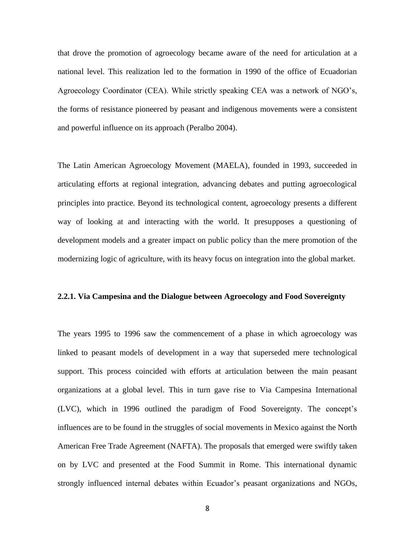that drove the promotion of agroecology became aware of the need for articulation at a national level. This realization led to the formation in 1990 of the office of Ecuadorian Agroecology Coordinator (CEA). While strictly speaking CEA was a network of NGO's, the forms of resistance pioneered by peasant and indigenous movements were a consistent and powerful influence on its approach (Peralbo 2004).

The Latin American Agroecology Movement (MAELA), founded in 1993, succeeded in articulating efforts at regional integration, advancing debates and putting agroecological principles into practice. Beyond its technological content, agroecology presents a different way of looking at and interacting with the world. It presupposes a questioning of development models and a greater impact on public policy than the mere promotion of the modernizing logic of agriculture, with its heavy focus on integration into the global market.

#### **2.2.1. Via Campesina and the Dialogue between Agroecology and Food Sovereignty**

The years 1995 to 1996 saw the commencement of a phase in which agroecology was linked to peasant models of development in a way that superseded mere technological support. This process coincided with efforts at articulation between the main peasant organizations at a global level. This in turn gave rise to Via Campesina International (LVC), which in 1996 outlined the paradigm of Food Sovereignty. The concept's influences are to be found in the struggles of social movements in Mexico against the North American Free Trade Agreement (NAFTA). The proposals that emerged were swiftly taken on by LVC and presented at the Food Summit in Rome. This international dynamic strongly influenced internal debates within Ecuador's peasant organizations and NGOs,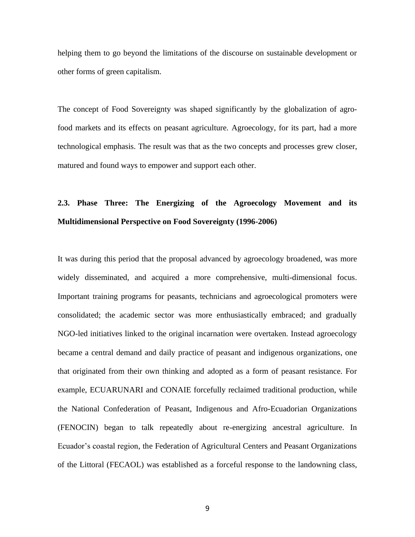helping them to go beyond the limitations of the discourse on sustainable development or other forms of green capitalism.

The concept of Food Sovereignty was shaped significantly by the globalization of agrofood markets and its effects on peasant agriculture. Agroecology, for its part, had a more technological emphasis. The result was that as the two concepts and processes grew closer, matured and found ways to empower and support each other.

## **2.3. Phase Three: The Energizing of the Agroecology Movement and its Multidimensional Perspective on Food Sovereignty (1996-2006)**

It was during this period that the proposal advanced by agroecology broadened, was more widely disseminated, and acquired a more comprehensive, multi-dimensional focus. Important training programs for peasants, technicians and agroecological promoters were consolidated; the academic sector was more enthusiastically embraced; and gradually NGO-led initiatives linked to the original incarnation were overtaken. Instead agroecology became a central demand and daily practice of peasant and indigenous organizations, one that originated from their own thinking and adopted as a form of peasant resistance. For example, ECUARUNARI and CONAIE forcefully reclaimed traditional production, while the National Confederation of Peasant, Indigenous and Afro-Ecuadorian Organizations (FENOCIN) began to talk repeatedly about re-energizing ancestral agriculture. In Ecuador's coastal region, the Federation of Agricultural Centers and Peasant Organizations of the Littoral (FECAOL) was established as a forceful response to the landowning class,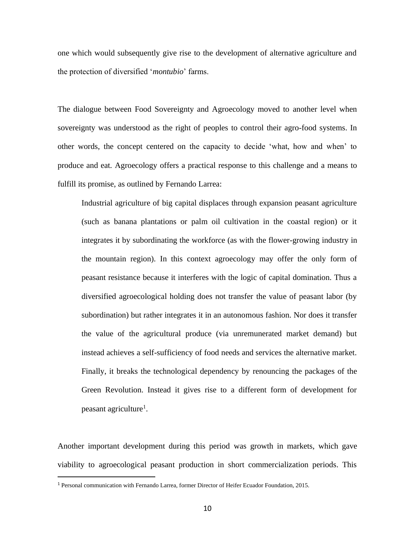one which would subsequently give rise to the development of alternative agriculture and the protection of diversified '*montubio*' farms.

The dialogue between Food Sovereignty and Agroecology moved to another level when sovereignty was understood as the right of peoples to control their agro-food systems. In other words, the concept centered on the capacity to decide 'what, how and when' to produce and eat. Agroecology offers a practical response to this challenge and a means to fulfill its promise, as outlined by Fernando Larrea:

Industrial agriculture of big capital displaces through expansion peasant agriculture (such as banana plantations or palm oil cultivation in the coastal region) or it integrates it by subordinating the workforce (as with the flower-growing industry in the mountain region). In this context agroecology may offer the only form of peasant resistance because it interferes with the logic of capital domination. Thus a diversified agroecological holding does not transfer the value of peasant labor (by subordination) but rather integrates it in an autonomous fashion. Nor does it transfer the value of the agricultural produce (via unremunerated market demand) but instead achieves a self-sufficiency of food needs and services the alternative market. Finally, it breaks the technological dependency by renouncing the packages of the Green Revolution. Instead it gives rise to a different form of development for peasant agriculture<sup>1</sup>.

Another important development during this period was growth in markets, which gave viability to agroecological peasant production in short commercialization periods. This

<sup>1</sup> Personal communication with Fernando Larrea, former Director of Heifer Ecuador Foundation, 2015.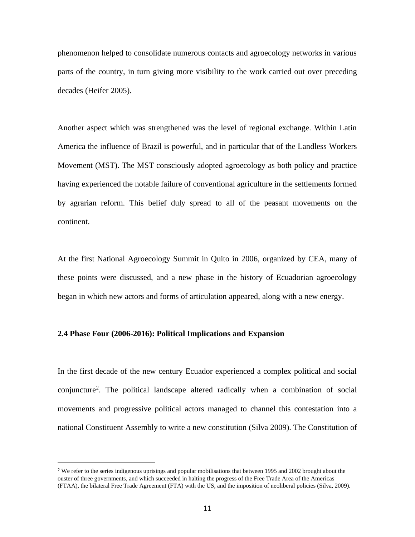phenomenon helped to consolidate numerous contacts and agroecology networks in various parts of the country, in turn giving more visibility to the work carried out over preceding decades (Heifer 2005).

Another aspect which was strengthened was the level of regional exchange. Within Latin America the influence of Brazil is powerful, and in particular that of the Landless Workers Movement (MST). The MST consciously adopted agroecology as both policy and practice having experienced the notable failure of conventional agriculture in the settlements formed by agrarian reform. This belief duly spread to all of the peasant movements on the continent.

At the first National Agroecology Summit in Quito in 2006, organized by CEA, many of these points were discussed, and a new phase in the history of Ecuadorian agroecology began in which new actors and forms of articulation appeared, along with a new energy.

#### **2.4 Phase Four (2006-2016): Political Implications and Expansion**

In the first decade of the new century Ecuador experienced a complex political and social conjuncture<sup>2</sup> . The political landscape altered radically when a combination of social movements and progressive political actors managed to channel this contestation into a national Constituent Assembly to write a new constitution (Silva 2009). The Constitution of

<sup>&</sup>lt;sup>2</sup> We refer to the series indigenous uprisings and popular mobilisations that between 1995 and 2002 brought about the ouster of three governments, and which succeeded in halting the progress of the Free Trade Area of the Americas (FTAA), the bilateral Free Trade Agreement (FTA) with the US, and the imposition of neoliberal policies (Silva, 2009).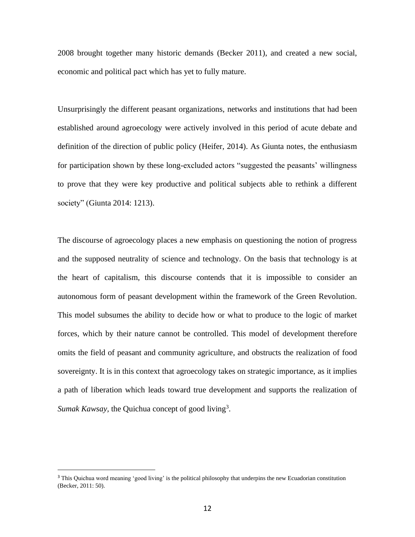2008 brought together many historic demands (Becker 2011), and created a new social, economic and political pact which has yet to fully mature.

Unsurprisingly the different peasant organizations, networks and institutions that had been established around agroecology were actively involved in this period of acute debate and definition of the direction of public policy (Heifer, 2014). As Giunta notes, the enthusiasm for participation shown by these long-excluded actors "suggested the peasants' willingness to prove that they were key productive and political subjects able to rethink a different society" (Giunta 2014: 1213).

The discourse of agroecology places a new emphasis on questioning the notion of progress and the supposed neutrality of science and technology. On the basis that technology is at the heart of capitalism, this discourse contends that it is impossible to consider an autonomous form of peasant development within the framework of the Green Revolution. This model subsumes the ability to decide how or what to produce to the logic of market forces, which by their nature cannot be controlled. This model of development therefore omits the field of peasant and community agriculture, and obstructs the realization of food sovereignty. It is in this context that agroecology takes on strategic importance, as it implies a path of liberation which leads toward true development and supports the realization of Sumak Kawsay, the Quichua concept of good living<sup>3</sup>.

<sup>&</sup>lt;sup>3</sup> This Quichua word meaning 'good living' is the political philosophy that underpins the new Ecuadorian constitution (Becker, 2011: 50).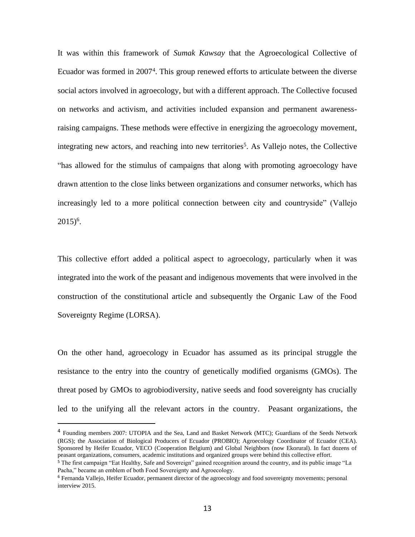It was within this framework of *Sumak Kawsay* that the Agroecological Collective of Ecuador was formed in 2007<sup>4</sup>. This group renewed efforts to articulate between the diverse social actors involved in agroecology, but with a different approach. The Collective focused on networks and activism, and activities included expansion and permanent awarenessraising campaigns. These methods were effective in energizing the agroecology movement, integrating new actors, and reaching into new territories<sup>5</sup>. As Vallejo notes, the Collective "has allowed for the stimulus of campaigns that along with promoting agroecology have drawn attention to the close links between organizations and consumer networks, which has increasingly led to a more political connection between city and countryside" (Vallejo  $2015)^6$ .

This collective effort added a political aspect to agroecology, particularly when it was integrated into the work of the peasant and indigenous movements that were involved in the construction of the constitutional article and subsequently the Organic Law of the Food Sovereignty Regime (LORSA).

On the other hand, agroecology in Ecuador has assumed as its principal struggle the resistance to the entry into the country of genetically modified organisms (GMOs). The threat posed by GMOs to agrobiodiversity, native seeds and food sovereignty has crucially led to the unifying all the relevant actors in the country. Peasant organizations, the

<sup>&</sup>lt;sup>4</sup> Founding members 2007: UTOPIA and the Sea, Land and Basket Network (MTC); Guardians of the Seeds Network (RGS); the Association of Biological Producers of Ecuador (PROBIO); Agroecology Coordinator of Ecuador (CEA). Sponsored by Heifer Ecuador, VECO (Cooperation Belgium) and Global Neighbors (now Ekorural). In fact dozens of peasant organizations, consumers, academic institutions and organized groups were behind this collective effort.

<sup>&</sup>lt;sup>5</sup> The first campaign "Eat Healthy, Safe and Sovereign" gained recognition around the country, and its public image "La Pacha," became an emblem of both Food Sovereignty and Agroecology.

<sup>6</sup> Fernanda Vallejo, Heifer Ecuador, permanent director of the agroecology and food sovereignty movements; personal interview 2015.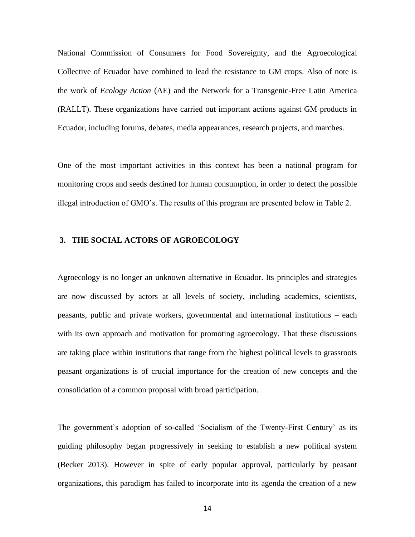National Commission of Consumers for Food Sovereignty, and the Agroecological Collective of Ecuador have combined to lead the resistance to GM crops. Also of note is the work of *Ecology Action* (AE) and the Network for a Transgenic-Free Latin America (RALLT). These organizations have carried out important actions against GM products in Ecuador, including forums, debates, media appearances, research projects, and marches.

One of the most important activities in this context has been a national program for monitoring crops and seeds destined for human consumption, in order to detect the possible illegal introduction of GMO's. The results of this program are presented below in Table 2.

#### **3. THE SOCIAL ACTORS OF AGROECOLOGY**

Agroecology is no longer an unknown alternative in Ecuador. Its principles and strategies are now discussed by actors at all levels of society, including academics, scientists, peasants, public and private workers, governmental and international institutions – each with its own approach and motivation for promoting agroecology. That these discussions are taking place within institutions that range from the highest political levels to grassroots peasant organizations is of crucial importance for the creation of new concepts and the consolidation of a common proposal with broad participation.

The government's adoption of so-called 'Socialism of the Twenty-First Century' as its guiding philosophy began progressively in seeking to establish a new political system (Becker 2013). However in spite of early popular approval, particularly by peasant organizations, this paradigm has failed to incorporate into its agenda the creation of a new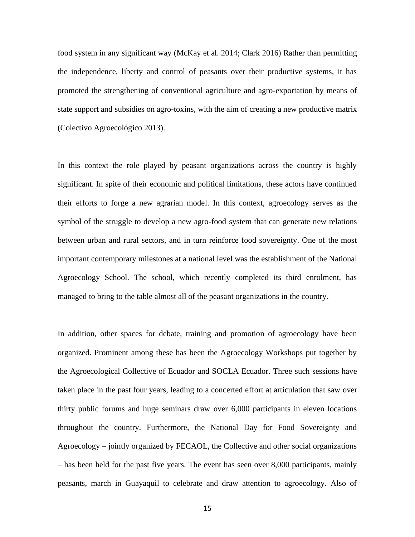food system in any significant way (McKay et al. 2014; Clark 2016) Rather than permitting the independence, liberty and control of peasants over their productive systems, it has promoted the strengthening of conventional agriculture and agro-exportation by means of state support and subsidies on agro-toxins, with the aim of creating a new productive matrix (Colectivo Agroecológico 2013).

In this context the role played by peasant organizations across the country is highly significant. In spite of their economic and political limitations, these actors have continued their efforts to forge a new agrarian model. In this context, agroecology serves as the symbol of the struggle to develop a new agro-food system that can generate new relations between urban and rural sectors, and in turn reinforce food sovereignty. One of the most important contemporary milestones at a national level was the establishment of the National Agroecology School. The school, which recently completed its third enrolment, has managed to bring to the table almost all of the peasant organizations in the country.

In addition, other spaces for debate, training and promotion of agroecology have been organized. Prominent among these has been the Agroecology Workshops put together by the Agroecological Collective of Ecuador and SOCLA Ecuador. Three such sessions have taken place in the past four years, leading to a concerted effort at articulation that saw over thirty public forums and huge seminars draw over 6,000 participants in eleven locations throughout the country. Furthermore, the National Day for Food Sovereignty and Agroecology – jointly organized by FECAOL, the Collective and other social organizations – has been held for the past five years. The event has seen over 8,000 participants, mainly peasants, march in Guayaquil to celebrate and draw attention to agroecology. Also of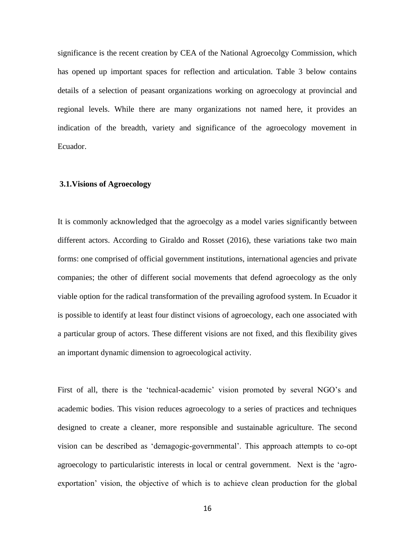significance is the recent creation by CEA of the National Agroecolgy Commission, which has opened up important spaces for reflection and articulation. Table 3 below contains details of a selection of peasant organizations working on agroecology at provincial and regional levels. While there are many organizations not named here, it provides an indication of the breadth, variety and significance of the agroecology movement in Ecuador.

#### **3.1.Visions of Agroecology**

It is commonly acknowledged that the agroecolgy as a model varies significantly between different actors. According to Giraldo and Rosset (2016), these variations take two main forms: one comprised of official government institutions, international agencies and private companies; the other of different social movements that defend agroecology as the only viable option for the radical transformation of the prevailing agrofood system. In Ecuador it is possible to identify at least four distinct visions of agroecology, each one associated with a particular group of actors. These different visions are not fixed, and this flexibility gives an important dynamic dimension to agroecological activity.

First of all, there is the 'technical-academic' vision promoted by several NGO's and academic bodies. This vision reduces agroecology to a series of practices and techniques designed to create a cleaner, more responsible and sustainable agriculture. The second vision can be described as 'demagogic-governmental'. This approach attempts to co-opt agroecology to particularistic interests in local or central government. Next is the 'agroexportation' vision, the objective of which is to achieve clean production for the global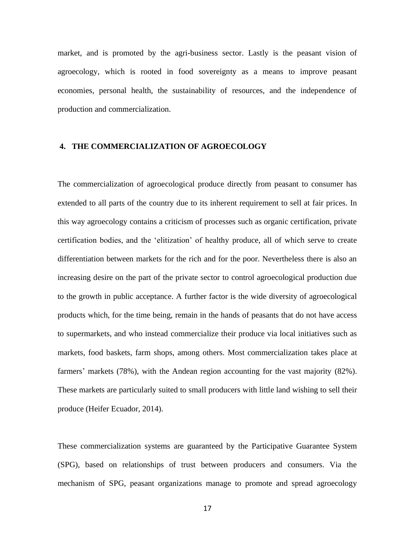market, and is promoted by the agri-business sector. Lastly is the peasant vision of agroecology, which is rooted in food sovereignty as a means to improve peasant economies, personal health, the sustainability of resources, and the independence of production and commercialization.

#### **4. THE COMMERCIALIZATION OF AGROECOLOGY**

The commercialization of agroecological produce directly from peasant to consumer has extended to all parts of the country due to its inherent requirement to sell at fair prices. In this way agroecology contains a criticism of processes such as organic certification, private certification bodies, and the 'elitization' of healthy produce, all of which serve to create differentiation between markets for the rich and for the poor. Nevertheless there is also an increasing desire on the part of the private sector to control agroecological production due to the growth in public acceptance. A further factor is the wide diversity of agroecological products which, for the time being, remain in the hands of peasants that do not have access to supermarkets, and who instead commercialize their produce via local initiatives such as markets, food baskets, farm shops, among others. Most commercialization takes place at farmers' markets (78%), with the Andean region accounting for the vast majority (82%). These markets are particularly suited to small producers with little land wishing to sell their produce (Heifer Ecuador, 2014).

These commercialization systems are guaranteed by the Participative Guarantee System (SPG), based on relationships of trust between producers and consumers. Via the mechanism of SPG, peasant organizations manage to promote and spread agroecology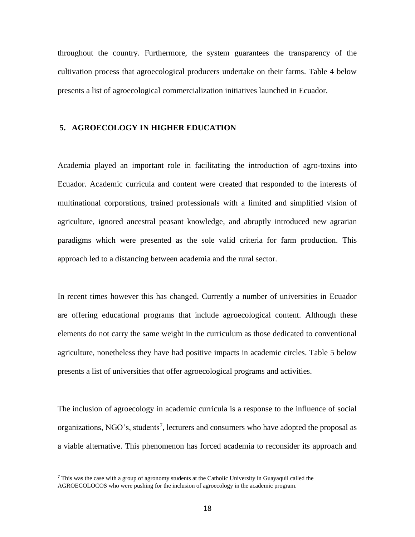throughout the country. Furthermore, the system guarantees the transparency of the cultivation process that agroecological producers undertake on their farms. Table 4 below presents a list of agroecological commercialization initiatives launched in Ecuador.

#### **5. AGROECOLOGY IN HIGHER EDUCATION**

Academia played an important role in facilitating the introduction of agro-toxins into Ecuador. Academic curricula and content were created that responded to the interests of multinational corporations, trained professionals with a limited and simplified vision of agriculture, ignored ancestral peasant knowledge, and abruptly introduced new agrarian paradigms which were presented as the sole valid criteria for farm production. This approach led to a distancing between academia and the rural sector.

In recent times however this has changed. Currently a number of universities in Ecuador are offering educational programs that include agroecological content. Although these elements do not carry the same weight in the curriculum as those dedicated to conventional agriculture, nonetheless they have had positive impacts in academic circles. Table 5 below presents a list of universities that offer agroecological programs and activities.

The inclusion of agroecology in academic curricula is a response to the influence of social organizations, NGO's, students<sup>7</sup>, lecturers and consumers who have adopted the proposal as a viable alternative. This phenomenon has forced academia to reconsider its approach and

<sup>7</sup> This was the case with a group of agronomy students at the Catholic University in Guayaquil called the AGROECOLOCOS who were pushing for the inclusion of agroecology in the academic program.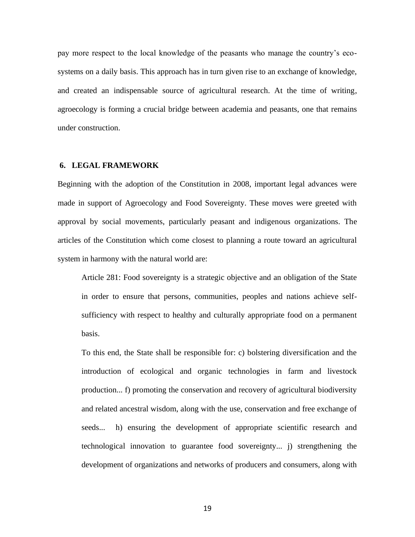pay more respect to the local knowledge of the peasants who manage the country's ecosystems on a daily basis. This approach has in turn given rise to an exchange of knowledge, and created an indispensable source of agricultural research. At the time of writing, agroecology is forming a crucial bridge between academia and peasants, one that remains under construction.

#### **6. LEGAL FRAMEWORK**

Beginning with the adoption of the Constitution in 2008, important legal advances were made in support of Agroecology and Food Sovereignty. These moves were greeted with approval by social movements, particularly peasant and indigenous organizations. The articles of the Constitution which come closest to planning a route toward an agricultural system in harmony with the natural world are:

Article 281: Food sovereignty is a strategic objective and an obligation of the State in order to ensure that persons, communities, peoples and nations achieve selfsufficiency with respect to healthy and culturally appropriate food on a permanent basis.

To this end, the State shall be responsible for: c) bolstering diversification and the introduction of ecological and organic technologies in farm and livestock production... f) promoting the conservation and recovery of agricultural biodiversity and related ancestral wisdom, along with the use, conservation and free exchange of seeds... h) ensuring the development of appropriate scientific research and technological innovation to guarantee food sovereignty... j) strengthening the development of organizations and networks of producers and consumers, along with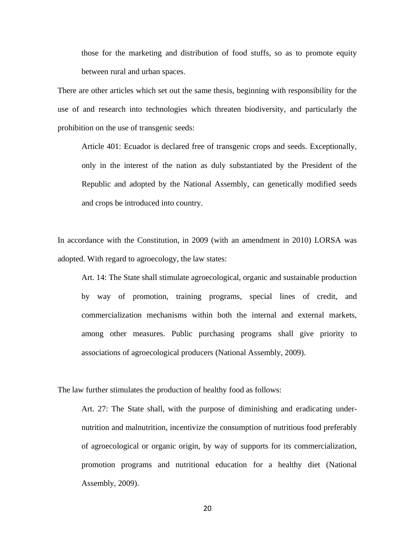those for the marketing and distribution of food stuffs, so as to promote equity between rural and urban spaces.

There are other articles which set out the same thesis, beginning with responsibility for the use of and research into technologies which threaten biodiversity, and particularly the prohibition on the use of transgenic seeds:

Article 401: Ecuador is declared free of transgenic crops and seeds. Exceptionally, only in the interest of the nation as duly substantiated by the President of the Republic and adopted by the National Assembly, can genetically modified seeds and crops be introduced into country.

In accordance with the Constitution, in 2009 (with an amendment in 2010) LORSA was adopted. With regard to agroecology, the law states:

Art. 14: The State shall stimulate agroecological, organic and sustainable production by way of promotion, training programs, special lines of credit, and commercialization mechanisms within both the internal and external markets, among other measures. Public purchasing programs shall give priority to associations of agroecological producers (National Assembly, 2009).

The law further stimulates the production of healthy food as follows:

Art. 27: The State shall, with the purpose of diminishing and eradicating undernutrition and malnutrition, incentivize the consumption of nutritious food preferably of agroecological or organic origin, by way of supports for its commercialization, promotion programs and nutritional education for a healthy diet (National Assembly, 2009).

20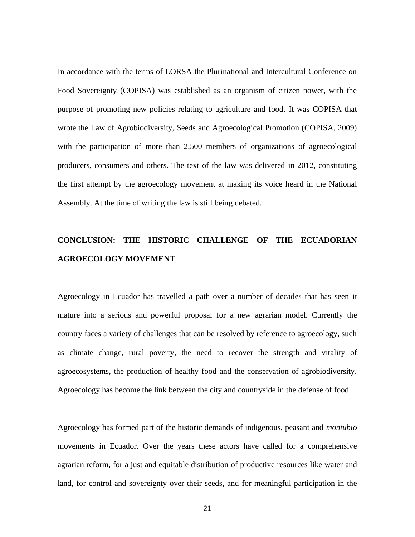In accordance with the terms of LORSA the Plurinational and Intercultural Conference on Food Sovereignty (COPISA) was established as an organism of citizen power, with the purpose of promoting new policies relating to agriculture and food. It was COPISA that wrote the Law of Agrobiodiversity, Seeds and Agroecological Promotion (COPISA, 2009) with the participation of more than 2,500 members of organizations of agroecological producers, consumers and others. The text of the law was delivered in 2012, constituting the first attempt by the agroecology movement at making its voice heard in the National Assembly. At the time of writing the law is still being debated.

## **CONCLUSION: THE HISTORIC CHALLENGE OF THE ECUADORIAN AGROECOLOGY MOVEMENT**

Agroecology in Ecuador has travelled a path over a number of decades that has seen it mature into a serious and powerful proposal for a new agrarian model. Currently the country faces a variety of challenges that can be resolved by reference to agroecology, such as climate change, rural poverty, the need to recover the strength and vitality of agroecosystems, the production of healthy food and the conservation of agrobiodiversity. Agroecology has become the link between the city and countryside in the defense of food.

Agroecology has formed part of the historic demands of indigenous, peasant and *montubio* movements in Ecuador. Over the years these actors have called for a comprehensive agrarian reform, for a just and equitable distribution of productive resources like water and land, for control and sovereignty over their seeds, and for meaningful participation in the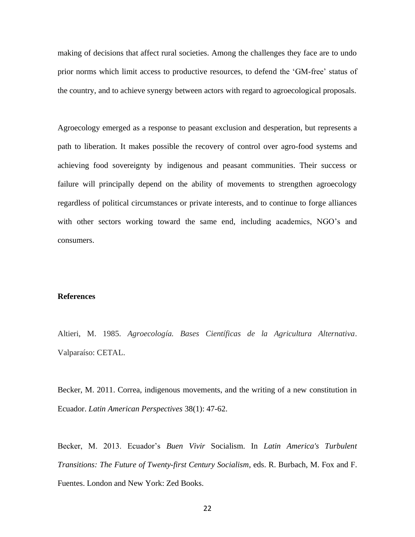making of decisions that affect rural societies. Among the challenges they face are to undo prior norms which limit access to productive resources, to defend the 'GM-free' status of the country, and to achieve synergy between actors with regard to agroecological proposals.

Agroecology emerged as a response to peasant exclusion and desperation, but represents a path to liberation. It makes possible the recovery of control over agro-food systems and achieving food sovereignty by indigenous and peasant communities. Their success or failure will principally depend on the ability of movements to strengthen agroecology regardless of political circumstances or private interests, and to continue to forge alliances with other sectors working toward the same end, including academics, NGO's and consumers.

#### **References**

Altieri, M. 1985. *Agroecología. Bases Científicas de la Agricultura Alternativa*. Valparaíso: CETAL.

Becker, M. 2011. Correa, indigenous movements, and the writing of a new constitution in Ecuador. *Latin American Perspectives* 38(1): 47-62.

Becker, M. 2013. Ecuador's *Buen Vivir* Socialism. In *Latin America's Turbulent Transitions: The Future of Twenty-first Century Socialism*, eds. R. Burbach, M. Fox and F. Fuentes. London and New York: Zed Books.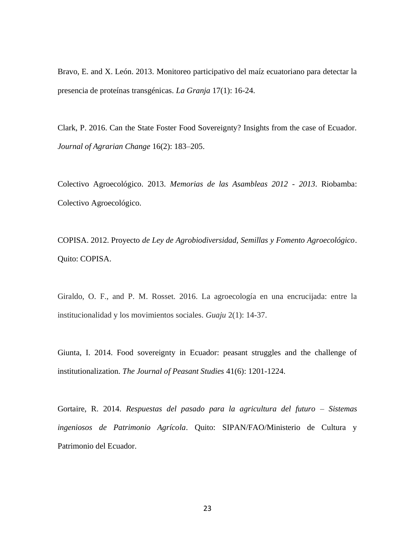Bravo, E. and X. León. 2013. Monitoreo participativo del maíz ecuatoriano para detectar la presencia de proteínas transgénicas. *La Granja* 17(1): 16-24.

Clark, P. 2016. Can the State Foster Food Sovereignty? Insights from the case of Ecuador. *Journal of Agrarian Change* 16(2): 183–205.

Colectivo Agroecológico. 2013. *Memorias de las Asambleas 2012 - 2013*. Riobamba: Colectivo Agroecológico.

COPISA. 2012. Proyecto *de Ley de Agrobiodiversidad, Semillas y Fomento Agroecológico*. Quito: COPISA.

Giraldo, O. F., and P. M. Rosset. 2016. La agroecología en una encrucijada: entre la institucionalidad y los movimientos sociales. *Guaju* 2(1): 14-37.

Giunta, I. 2014. Food sovereignty in Ecuador: peasant struggles and the challenge of institutionalization. *The Journal of Peasant Studies* 41(6): 1201-1224.

Gortaire, R. 2014. *Respuestas del pasado para la agricultura del futuro – Sistemas ingeniosos de Patrimonio Agrícola*. Quito: SIPAN/FAO/Ministerio de Cultura y Patrimonio del Ecuador.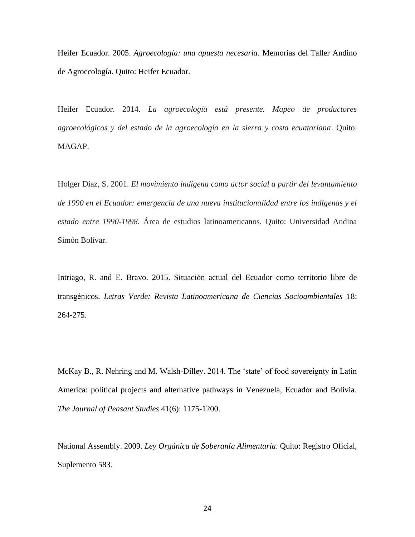Heifer Ecuador. 2005. *Agroecología: una apuesta necesaria.* Memorias del Taller Andino de Agroecología. Quito: Heifer Ecuador.

Heifer Ecuador. 2014. *La agroecología está presente. Mapeo de productores agroecológicos y del estado de la agroecología en la sierra y costa ecuatoriana*. Quito: MAGAP.

Holger Díaz, S. 2001. *El movimiento indígena como actor social a partir del levantamiento de 1990 en el Ecuador: emergencia de una nueva institucionalidad entre los indígenas y el estado entre 1990-1998*. Área de estudios latinoamericanos. Quito: Universidad Andina Simón Bolívar.

Intriago, R. and E. Bravo. 2015. Situación actual del Ecuador como territorio libre de transgénicos. *Letras Verde: Revista Latinoamericana de Ciencias Socioambientales* 18: 264-275.

McKay B., R. Nehring and M. Walsh-Dilley. 2014. The 'state' of food sovereignty in Latin America: political projects and alternative pathways in Venezuela, Ecuador and Bolivia. *The Journal of Peasant Studies* 41(6): 1175-1200.

National Assembly. 2009. *Ley Orgánica de Soberanía Alimentaria*. Quito: Registro Oficial, Suplemento 583.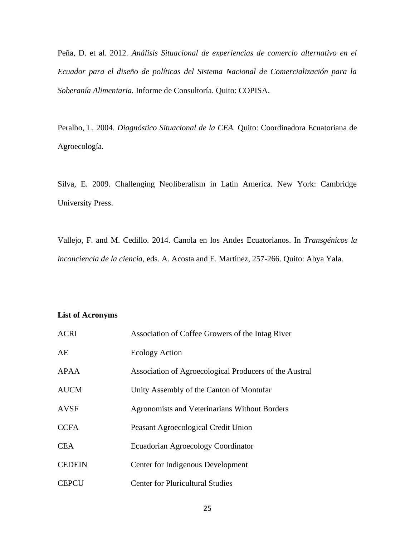Peña, D. et al. 2012. *Análisis Situacional de experiencias de comercio alternativo en el Ecuador para el diseño de políticas del Sistema Nacional de Comercialización para la Soberanía Alimentaria.* Informe de Consultoría. Quito: COPISA.

Peralbo, L. 2004. *Diagnóstico Situacional de la CEA.* Quito: Coordinadora Ecuatoriana de Agroecología.

Silva, E. 2009. Challenging Neoliberalism in Latin America. New York: Cambridge University Press.

Vallejo, F. and M. Cedillo. 2014. Canola en los Andes Ecuatorianos. In *Transgénicos la inconciencia de la ciencia*, eds. A. Acosta and E. Martínez, 257-266. Quito: Abya Yala.

#### **List of Acronyms**

| <b>ACRI</b>   | Association of Coffee Growers of the Intag River       |
|---------------|--------------------------------------------------------|
| AE            | <b>Ecology Action</b>                                  |
| <b>APAA</b>   | Association of Agroecological Producers of the Austral |
| <b>AUCM</b>   | Unity Assembly of the Canton of Montufar               |
| <b>AVSF</b>   | Agronomists and Veterinarians Without Borders          |
| <b>CCFA</b>   | Peasant Agroecological Credit Union                    |
| <b>CEA</b>    | Ecuadorian Agroecology Coordinator                     |
| <b>CEDEIN</b> | Center for Indigenous Development                      |
| <b>CEPCU</b>  | <b>Center for Pluricultural Studies</b>                |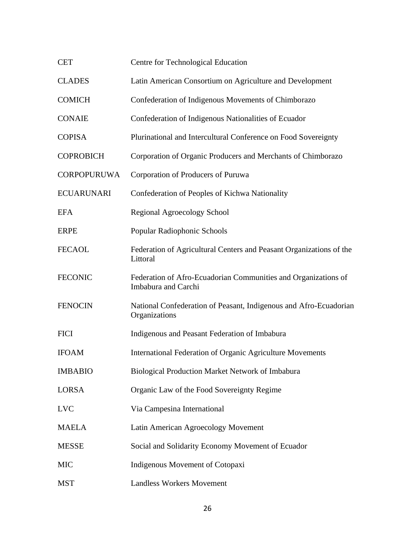| <b>CET</b>         | Centre for Technological Education                                                    |
|--------------------|---------------------------------------------------------------------------------------|
| <b>CLADES</b>      | Latin American Consortium on Agriculture and Development                              |
| <b>COMICH</b>      | Confederation of Indigenous Movements of Chimborazo                                   |
| <b>CONAIE</b>      | Confederation of Indigenous Nationalities of Ecuador                                  |
| <b>COPISA</b>      | Plurinational and Intercultural Conference on Food Sovereignty                        |
| <b>COPROBICH</b>   | Corporation of Organic Producers and Merchants of Chimborazo                          |
| <b>CORPOPURUWA</b> | Corporation of Producers of Puruwa                                                    |
| <b>ECUARUNARI</b>  | Confederation of Peoples of Kichwa Nationality                                        |
| <b>EFA</b>         | Regional Agroecology School                                                           |
| <b>ERPE</b>        | Popular Radiophonic Schools                                                           |
| <b>FECAOL</b>      | Federation of Agricultural Centers and Peasant Organizations of the<br>Littoral       |
| <b>FECONIC</b>     | Federation of Afro-Ecuadorian Communities and Organizations of<br>Imbabura and Carchi |
| <b>FENOCIN</b>     | National Confederation of Peasant, Indigenous and Afro-Ecuadorian<br>Organizations    |
| <b>FICI</b>        | Indigenous and Peasant Federation of Imbabura                                         |
| <b>IFOAM</b>       | International Federation of Organic Agriculture Movements                             |
| <b>IMBABIO</b>     | <b>Biological Production Market Network of Imbabura</b>                               |
| <b>LORSA</b>       | Organic Law of the Food Sovereignty Regime                                            |
| <b>LVC</b>         | Via Campesina International                                                           |
| <b>MAELA</b>       | Latin American Agroecology Movement                                                   |
| <b>MESSE</b>       | Social and Solidarity Economy Movement of Ecuador                                     |
| <b>MIC</b>         | Indigenous Movement of Cotopaxi                                                       |
| <b>MST</b>         | <b>Landless Workers Movement</b>                                                      |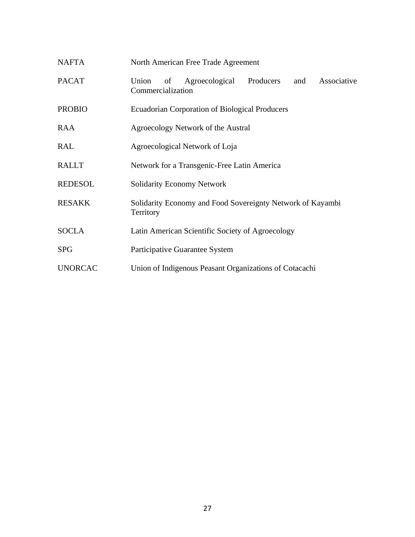| <b>NAFTA</b>   | North American Free Trade Agreement                                                   |  |  |
|----------------|---------------------------------------------------------------------------------------|--|--|
| <b>PACAT</b>   | Producers<br>Agroecological<br>Associative<br>Union<br>of<br>and<br>Commercialization |  |  |
| <b>PROBIO</b>  | <b>Ecuadorian Corporation of Biological Producers</b>                                 |  |  |
| <b>RAA</b>     | Agroecology Network of the Austral                                                    |  |  |
| <b>RAL</b>     | Agroecological Network of Loja                                                        |  |  |
| <b>RALLT</b>   | Network for a Transgenic-Free Latin America                                           |  |  |
| <b>REDESOL</b> | <b>Solidarity Economy Network</b>                                                     |  |  |
| <b>RESAKK</b>  | Solidarity Economy and Food Sovereignty Network of Kayambi<br>Territory               |  |  |
| <b>SOCLA</b>   | Latin American Scientific Society of Agroecology                                      |  |  |
| <b>SPG</b>     | Participative Guarantee System                                                        |  |  |
| <b>UNORCAC</b> | Union of Indigenous Peasant Organizations of Cotacachi                                |  |  |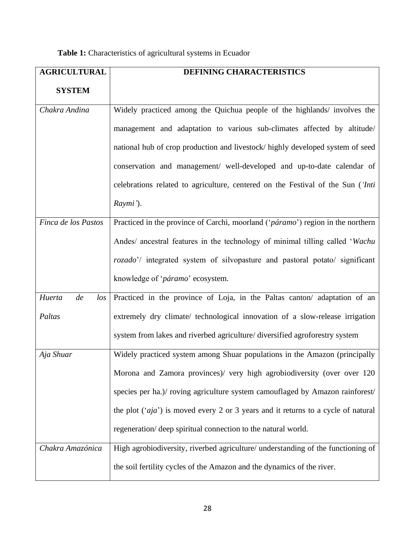| <b>AGRICULTURAL</b>    | DEFINING CHARACTERISTICS                                                                 |  |  |
|------------------------|------------------------------------------------------------------------------------------|--|--|
| <b>SYSTEM</b>          |                                                                                          |  |  |
| Chakra Andina          | Widely practiced among the Quichua people of the highlands/ involves the                 |  |  |
|                        | management and adaptation to various sub-climates affected by altitude/                  |  |  |
|                        | national hub of crop production and livestock/highly developed system of seed            |  |  |
|                        | conservation and management/ well-developed and up-to-date calendar of                   |  |  |
|                        | celebrations related to agriculture, centered on the Festival of the Sun ('Inti          |  |  |
|                        | Raymi').                                                                                 |  |  |
| Finca de los Pastos    | Practiced in the province of Carchi, moorland ('páramo') region in the northern          |  |  |
|                        | Andes/ ancestral features in the technology of minimal tilling called 'Wachu             |  |  |
|                        | rozado'/ integrated system of silvopasture and pastoral potato/ significant              |  |  |
|                        | knowledge of 'páramo' ecosystem.                                                         |  |  |
| Huerta<br>de<br>$\log$ | Practiced in the province of Loja, in the Paltas canton/adaptation of an                 |  |  |
| Paltas                 | extremely dry climate/ technological innovation of a slow-release irrigation             |  |  |
|                        | system from lakes and riverbed agriculture/ diversified agroforestry system              |  |  |
| Aja Shuar              | Widely practiced system among Shuar populations in the Amazon (principally               |  |  |
|                        | Morona and Zamora provinces)/ very high agrobiodiversity (over over 120                  |  |  |
|                        | species per ha.)/ roving agriculture system camouflaged by Amazon rainforest/            |  |  |
|                        | the plot $(\hat{a}ja')$ is moved every 2 or 3 years and it returns to a cycle of natural |  |  |
|                        | regeneration/ deep spiritual connection to the natural world.                            |  |  |
| Chakra Amazónica       | High agrobiodiversity, riverbed agriculture/ understanding of the functioning of         |  |  |
|                        | the soil fertility cycles of the Amazon and the dynamics of the river.                   |  |  |

| Table 1: Characteristics of agricultural systems in Ecuador |  |  |
|-------------------------------------------------------------|--|--|
|-------------------------------------------------------------|--|--|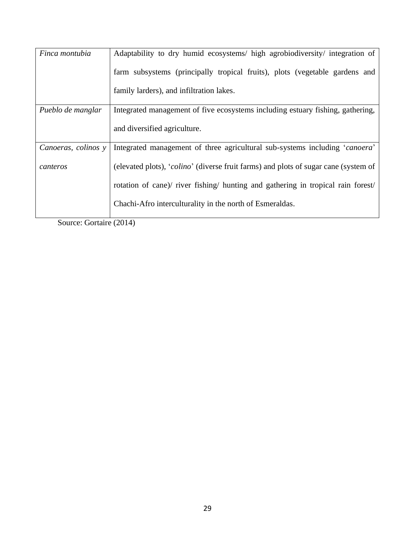| Finca montubia      | Adaptability to dry humid ecosystems/ high agrobiodiversity/ integration of         |  |  |
|---------------------|-------------------------------------------------------------------------------------|--|--|
|                     | farm subsystems (principally tropical fruits), plots (vegetable gardens and         |  |  |
|                     | family larders), and infiltration lakes.                                            |  |  |
| Pueblo de manglar   | Integrated management of five ecosystems including estuary fishing, gathering,      |  |  |
|                     | and diversified agriculture.                                                        |  |  |
| Canoeras, colinos y | Integrated management of three agricultural sub-systems including 'canoera'         |  |  |
| canteros            | (elevated plots), 'colino' (diverse fruit farms) and plots of sugar cane (system of |  |  |
|                     | rotation of cane)/ river fishing/ hunting and gathering in tropical rain forest/    |  |  |
|                     | Chachi-Afro interculturality in the north of Esmeraldas.                            |  |  |
|                     |                                                                                     |  |  |

Source: Gortaire (2014)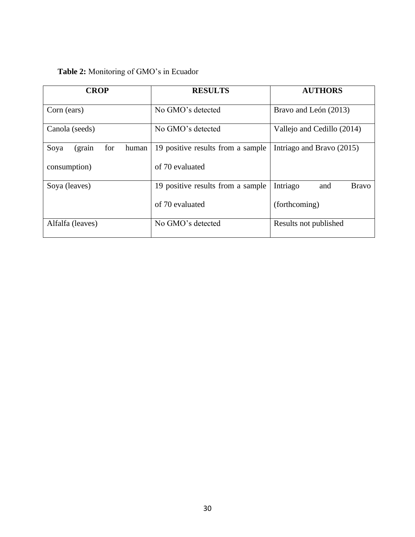### **Table 2:** Monitoring of GMO's in Ecuador

| <b>CROP</b>                     | <b>RESULTS</b>                    | <b>AUTHORS</b>                  |
|---------------------------------|-----------------------------------|---------------------------------|
| Corn (ears)                     | No GMO's detected                 | Bravo and León (2013)           |
| Canola (seeds)                  | No GMO's detected                 | Vallejo and Cedillo (2014)      |
| Soya<br>for<br>human<br>(grain) | 19 positive results from a sample | Intriago and Bravo (2015)       |
| consumption)                    | of 70 evaluated                   |                                 |
| Soya (leaves)                   | 19 positive results from a sample | Intriago<br><b>Bravo</b><br>and |
|                                 | of 70 evaluated                   | (forthcoming)                   |
| Alfalfa (leaves)                | No GMO's detected                 | Results not published           |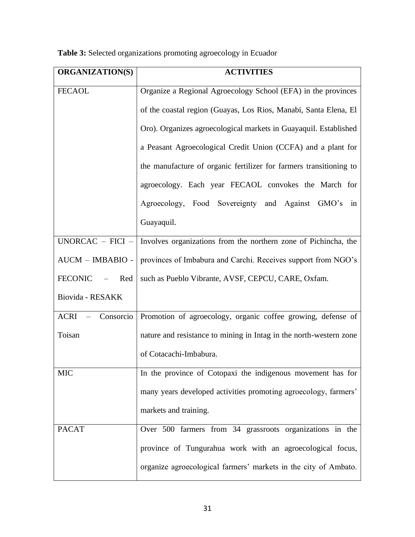**ORGANIZATION(S) ACTIVITIES** FECAOL Creanize a Regional Agroecology School (EFA) in the provinces of the coastal region (Guayas, Los Rios, Manabi, Santa Elena, El Oro). Organizes agroecological markets in Guayaquil. Established a Peasant Agroecological Credit Union (CCFA) and a plant for the manufacture of organic fertilizer for farmers transitioning to agroecology. Each year FECAOL convokes the March for Agroecology, Food Sovereignty and Against GMO's in Guayaquil. UNORCAC – FICI – AUCM – IMBABIO - FECONIC – Red Biovida - RESAKK Involves organizations from the northern zone of Pichincha, the provinces of Imbabura and Carchi. Receives support from NGO's such as Pueblo Vibrante, AVSF, CEPCU, CARE, Oxfam. ACRI – Consorcio Toisan Promotion of agroecology, organic coffee growing, defense of nature and resistance to mining in Intag in the north-western zone of Cotacachi-Imbabura. MIC In the province of Cotopaxi the indigenous movement has for many years developed activities promoting agroecology, farmers' markets and training. PACAT Over 500 farmers from 34 grassroots organizations in the province of Tungurahua work with an agroecological focus, organize agroecological farmers' markets in the city of Ambato.

**Table 3:** Selected organizations promoting agroecology in Ecuador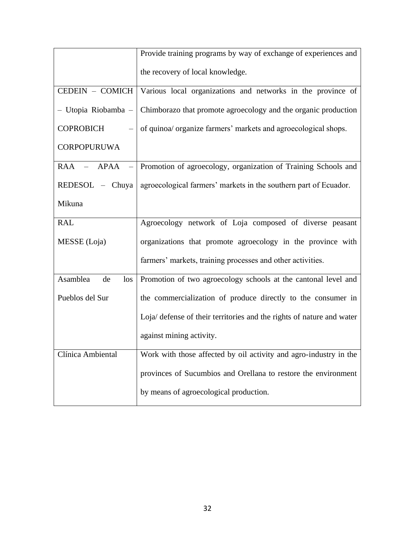|                          | Provide training programs by way of exchange of experiences and             |  |
|--------------------------|-----------------------------------------------------------------------------|--|
|                          | the recovery of local knowledge.                                            |  |
| CEDEIN - COMICH          | Various local organizations and networks in the province of                 |  |
| - Utopia Riobamba -      | Chimborazo that promote agroecology and the organic production              |  |
| <b>COPROBICH</b>         | of quinoa/ organize farmers' markets and agroecological shops.              |  |
| <b>CORPOPURUWA</b>       |                                                                             |  |
|                          | RAA – APAA – Promotion of agroecology, organization of Training Schools and |  |
| $REDESOL$ – Chuya        | agroecological farmers' markets in the southern part of Ecuador.            |  |
| Mikuna                   |                                                                             |  |
| <b>RAL</b>               | Agroecology network of Loja composed of diverse peasant                     |  |
| MESSE (Loja)             | organizations that promote agroecology in the province with                 |  |
|                          | farmers' markets, training processes and other activities.                  |  |
| Asamblea<br>de<br>$\log$ | Promotion of two agroecology schools at the cantonal level and              |  |
| Pueblos del Sur          | the commercialization of produce directly to the consumer in                |  |
|                          | Loja/ defense of their territories and the rights of nature and water       |  |
|                          | against mining activity.                                                    |  |
| Clínica Ambiental        | Work with those affected by oil activity and agro-industry in the           |  |
|                          | provinces of Sucumbios and Orellana to restore the environment              |  |
|                          | by means of agroecological production.                                      |  |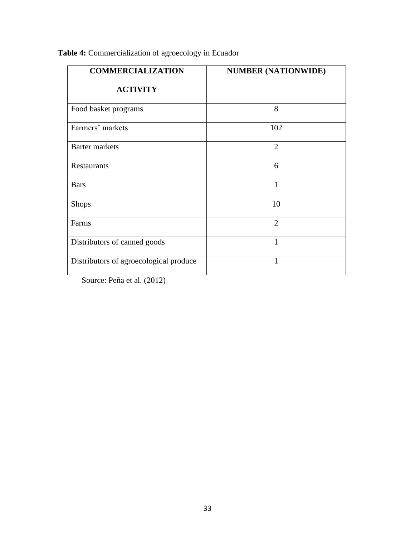| <b>COMMERCIALIZATION</b>               | <b>NUMBER (NATIONWIDE)</b> |
|----------------------------------------|----------------------------|
| <b>ACTIVITY</b>                        |                            |
| Food basket programs                   | 8                          |
| Farmers' markets                       | 102                        |
| <b>Barter markets</b>                  | $\overline{2}$             |
| <b>Restaurants</b>                     | 6                          |
| <b>Bars</b>                            | 1                          |
| Shops                                  | 10                         |
| Farms                                  | $\overline{2}$             |
| Distributors of canned goods           | 1                          |
| Distributors of agroecological produce | 1                          |

### **Table 4:** Commercialization of agroecology in Ecuador

Source: Peña et al. (2012)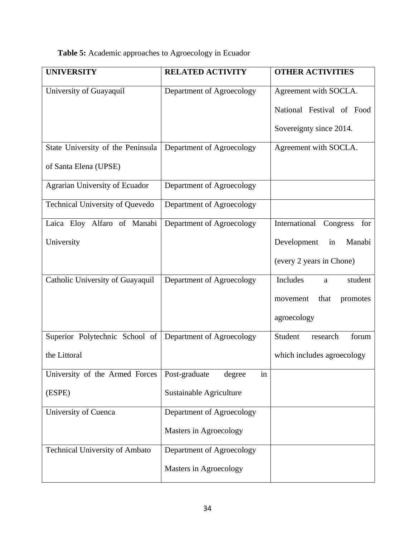## **Table 5:** Academic approaches to Agroecology in Ecuador

| <b>UNIVERSITY</b>                      | <b>RELATED ACTIVITY</b>       | <b>OTHER ACTIVITIES</b>      |
|----------------------------------------|-------------------------------|------------------------------|
| University of Guayaquil                | Department of Agroecology     | Agreement with SOCLA.        |
|                                        |                               | National Festival of Food    |
|                                        |                               | Sovereignty since 2014.      |
| State University of the Peninsula      | Department of Agroecology     | Agreement with SOCLA.        |
| of Santa Elena (UPSE)                  |                               |                              |
| Agrarian University of Ecuador         | Department of Agroecology     |                              |
| <b>Technical University of Quevedo</b> | Department of Agroecology     |                              |
| Laica Eloy Alfaro of Manabi            | Department of Agroecology     | International Congress for   |
| University                             |                               | Development<br>in<br>Manabi  |
|                                        |                               | (every 2 years in Chone)     |
| Catholic University of Guayaquil       | Department of Agroecology     | Includes<br>student<br>a     |
|                                        |                               | that<br>movement<br>promotes |
|                                        |                               | agroecology                  |
| Superior Polytechnic School of         | Department of Agroecology     | Student<br>forum<br>research |
| the Littoral                           |                               | which includes agroecology   |
| University of the Armed Forces         | Post-graduate<br>degree<br>in |                              |
| (ESPE)                                 | Sustainable Agriculture       |                              |
| University of Cuenca                   | Department of Agroecology     |                              |
|                                        | Masters in Agroecology        |                              |
| <b>Technical University of Ambato</b>  | Department of Agroecology     |                              |
|                                        | Masters in Agroecology        |                              |